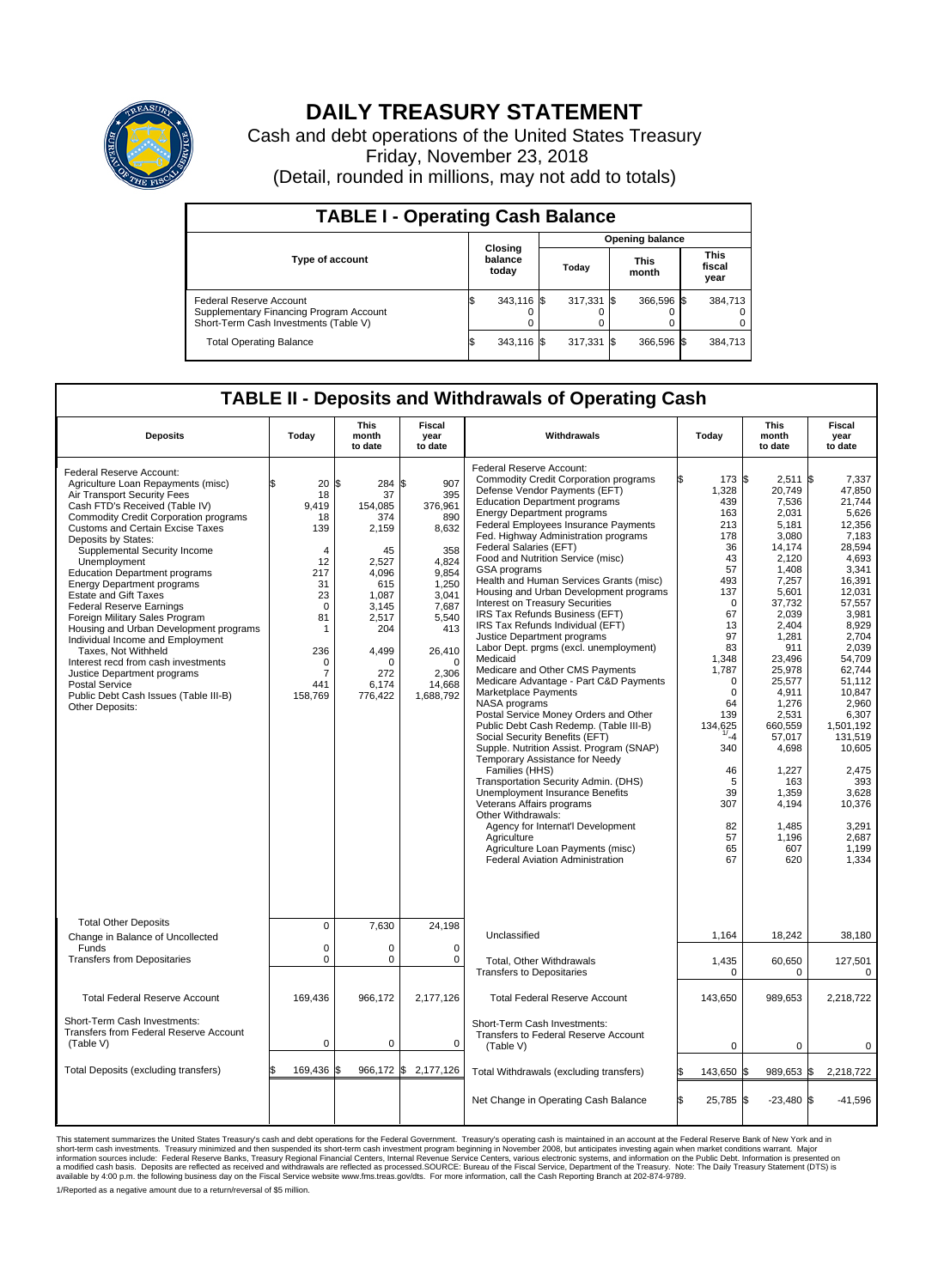

## **DAILY TREASURY STATEMENT**

Cash and debt operations of the United States Treasury Friday, November 23, 2018 (Detail, rounded in millions, may not add to totals)

| <b>TABLE I - Operating Cash Balance</b>                                                                     |    |                             |  |                        |  |                      |  |                               |  |  |  |
|-------------------------------------------------------------------------------------------------------------|----|-----------------------------|--|------------------------|--|----------------------|--|-------------------------------|--|--|--|
|                                                                                                             |    |                             |  | <b>Opening balance</b> |  |                      |  |                               |  |  |  |
| Type of account                                                                                             |    | Closing<br>balance<br>today |  | Today                  |  | <b>This</b><br>month |  | <b>This</b><br>fiscal<br>year |  |  |  |
| Federal Reserve Account<br>Supplementary Financing Program Account<br>Short-Term Cash Investments (Table V) |    | 343,116 \$                  |  | $317,331$ \$           |  | 366.596 \$           |  | 384,713                       |  |  |  |
| <b>Total Operating Balance</b>                                                                              | ß. | 343,116 \$                  |  | $317,331$ \$           |  | 366,596 \$           |  | 384,713                       |  |  |  |

## **TABLE II - Deposits and Withdrawals of Operating Cash**

|                                                                                                                                                                                                                                                                                                                                                                                                                                                                                                                                                                                                                                                                                                                                                     |                                                                                                                                                     | <b>This</b>                                                                                                                                           | <b>Fiscal</b>                                                                                                                                                            |                                                                                                                                                                                                                                                                                                                                                                                                                                                                                                                                                                                                                                                                                                                                                                                                                                                                                                                                                                                                                                                                                                                                                                                                                                                                   |                                                                                                                                                                                                                                                                      | This                                                                                                                                                                                                                                                                                                   | <b>Fiscal</b>                                                                                                                                                                                                                                                                                                                 |  |  |
|-----------------------------------------------------------------------------------------------------------------------------------------------------------------------------------------------------------------------------------------------------------------------------------------------------------------------------------------------------------------------------------------------------------------------------------------------------------------------------------------------------------------------------------------------------------------------------------------------------------------------------------------------------------------------------------------------------------------------------------------------------|-----------------------------------------------------------------------------------------------------------------------------------------------------|-------------------------------------------------------------------------------------------------------------------------------------------------------|--------------------------------------------------------------------------------------------------------------------------------------------------------------------------|-------------------------------------------------------------------------------------------------------------------------------------------------------------------------------------------------------------------------------------------------------------------------------------------------------------------------------------------------------------------------------------------------------------------------------------------------------------------------------------------------------------------------------------------------------------------------------------------------------------------------------------------------------------------------------------------------------------------------------------------------------------------------------------------------------------------------------------------------------------------------------------------------------------------------------------------------------------------------------------------------------------------------------------------------------------------------------------------------------------------------------------------------------------------------------------------------------------------------------------------------------------------|----------------------------------------------------------------------------------------------------------------------------------------------------------------------------------------------------------------------------------------------------------------------|--------------------------------------------------------------------------------------------------------------------------------------------------------------------------------------------------------------------------------------------------------------------------------------------------------|-------------------------------------------------------------------------------------------------------------------------------------------------------------------------------------------------------------------------------------------------------------------------------------------------------------------------------|--|--|
| <b>Deposits</b>                                                                                                                                                                                                                                                                                                                                                                                                                                                                                                                                                                                                                                                                                                                                     | Today                                                                                                                                               | month<br>to date                                                                                                                                      | year<br>to date                                                                                                                                                          | Withdrawals                                                                                                                                                                                                                                                                                                                                                                                                                                                                                                                                                                                                                                                                                                                                                                                                                                                                                                                                                                                                                                                                                                                                                                                                                                                       | Today                                                                                                                                                                                                                                                                | month<br>to date                                                                                                                                                                                                                                                                                       | year<br>to date                                                                                                                                                                                                                                                                                                               |  |  |
| Federal Reserve Account:<br>Agriculture Loan Repayments (misc)<br>Air Transport Security Fees<br>Cash FTD's Received (Table IV)<br><b>Commodity Credit Corporation programs</b><br><b>Customs and Certain Excise Taxes</b><br>Deposits by States:<br>Supplemental Security Income<br>Unemployment<br><b>Education Department programs</b><br><b>Energy Department programs</b><br><b>Estate and Gift Taxes</b><br><b>Federal Reserve Earnings</b><br>Foreign Military Sales Program<br>Housing and Urban Development programs<br>Individual Income and Employment<br>Taxes. Not Withheld<br>Interest recd from cash investments<br>Justice Department programs<br><b>Postal Service</b><br>Public Debt Cash Issues (Table III-B)<br>Other Deposits: | 20<br>18<br>9,419<br>18<br>139<br>$\overline{4}$<br>12<br>217<br>31<br>23<br>$\mathbf 0$<br>81<br>1<br>236<br>0<br>$\overline{7}$<br>441<br>158,769 | l\$<br>284<br>37<br>154,085<br>374<br>2,159<br>45<br>2,527<br>4.096<br>615<br>1,087<br>3,145<br>2,517<br>204<br>4,499<br>O<br>272<br>6.174<br>776,422 | S.<br>907<br>395<br>376,961<br>890<br>8,632<br>358<br>4,824<br>9,854<br>1,250<br>3,041<br>7,687<br>5,540<br>413<br>26,410<br>$\mathbf 0$<br>2,306<br>14,668<br>1,688,792 | Federal Reserve Account:<br><b>Commodity Credit Corporation programs</b><br>Defense Vendor Payments (EFT)<br><b>Education Department programs</b><br><b>Energy Department programs</b><br><b>Federal Employees Insurance Payments</b><br>Fed. Highway Administration programs<br>Federal Salaries (EFT)<br>Food and Nutrition Service (misc)<br><b>GSA</b> programs<br>Health and Human Services Grants (misc)<br>Housing and Urban Development programs<br>Interest on Treasury Securities<br>IRS Tax Refunds Business (EFT)<br>IRS Tax Refunds Individual (EFT)<br>Justice Department programs<br>Labor Dept. prgms (excl. unemployment)<br>Medicaid<br>Medicare and Other CMS Payments<br>Medicare Advantage - Part C&D Payments<br>Marketplace Payments<br>NASA programs<br>Postal Service Money Orders and Other<br>Public Debt Cash Redemp. (Table III-B)<br>Social Security Benefits (EFT)<br>Supple. Nutrition Assist. Program (SNAP)<br>Temporary Assistance for Needy<br>Families (HHS)<br>Transportation Security Admin. (DHS)<br>Unemployment Insurance Benefits<br>Veterans Affairs programs<br>Other Withdrawals:<br>Agency for Internat'l Development<br>Agriculture<br>Agriculture Loan Payments (misc)<br><b>Federal Aviation Administration</b> | Ŝ.<br>173 \$<br>1,328<br>439<br>163<br>213<br>178<br>36<br>43<br>57<br>493<br>137<br>$\mathbf 0$<br>67<br>13<br>97<br>83<br>1.348<br>1,787<br>$\mathbf 0$<br>$\mathbf 0$<br>64<br>139<br>134,625<br>$1/2 - 4$<br>340<br>46<br>5<br>39<br>307<br>82<br>57<br>65<br>67 | 2,511<br>20,749<br>7,536<br>2,031<br>5,181<br>3,080<br>14,174<br>2.120<br>1,408<br>7,257<br>5,601<br>37,732<br>2,039<br>2.404<br>1,281<br>911<br>23.496<br>25,978<br>25,577<br>4,911<br>1,276<br>2,531<br>660,559<br>57,017<br>4,698<br>1,227<br>163<br>1,359<br>4,194<br>1,485<br>1,196<br>607<br>620 | 1\$<br>7,337<br>47,850<br>21.744<br>5,626<br>12,356<br>7,183<br>28,594<br>4.693<br>3,341<br>16,391<br>12,031<br>57,557<br>3,981<br>8,929<br>2,704<br>2,039<br>54.709<br>62,744<br>51,112<br>10,847<br>2.960<br>6,307<br>1.501.192<br>131,519<br>10,605<br>2.475<br>393<br>3,628<br>10,376<br>3,291<br>2,687<br>1,199<br>1,334 |  |  |
| <b>Total Other Deposits</b>                                                                                                                                                                                                                                                                                                                                                                                                                                                                                                                                                                                                                                                                                                                         | $\pmb{0}$                                                                                                                                           | 7,630                                                                                                                                                 | 24,198                                                                                                                                                                   |                                                                                                                                                                                                                                                                                                                                                                                                                                                                                                                                                                                                                                                                                                                                                                                                                                                                                                                                                                                                                                                                                                                                                                                                                                                                   |                                                                                                                                                                                                                                                                      |                                                                                                                                                                                                                                                                                                        |                                                                                                                                                                                                                                                                                                                               |  |  |
| Change in Balance of Uncollected<br>Funds                                                                                                                                                                                                                                                                                                                                                                                                                                                                                                                                                                                                                                                                                                           | $\Omega$                                                                                                                                            | $\Omega$                                                                                                                                              | $\Omega$                                                                                                                                                                 | Unclassified                                                                                                                                                                                                                                                                                                                                                                                                                                                                                                                                                                                                                                                                                                                                                                                                                                                                                                                                                                                                                                                                                                                                                                                                                                                      | 1,164                                                                                                                                                                                                                                                                | 18,242                                                                                                                                                                                                                                                                                                 | 38,180                                                                                                                                                                                                                                                                                                                        |  |  |
| <b>Transfers from Depositaries</b>                                                                                                                                                                                                                                                                                                                                                                                                                                                                                                                                                                                                                                                                                                                  | $\mathbf 0$                                                                                                                                         | 0                                                                                                                                                     | $\mathbf 0$                                                                                                                                                              | Total, Other Withdrawals<br><b>Transfers to Depositaries</b>                                                                                                                                                                                                                                                                                                                                                                                                                                                                                                                                                                                                                                                                                                                                                                                                                                                                                                                                                                                                                                                                                                                                                                                                      | 1,435<br>$\Omega$                                                                                                                                                                                                                                                    | 60,650<br>$\Omega$                                                                                                                                                                                                                                                                                     | 127,501<br>$\Omega$                                                                                                                                                                                                                                                                                                           |  |  |
| <b>Total Federal Reserve Account</b>                                                                                                                                                                                                                                                                                                                                                                                                                                                                                                                                                                                                                                                                                                                | 169,436                                                                                                                                             | 966,172                                                                                                                                               | 2,177,126                                                                                                                                                                | <b>Total Federal Reserve Account</b>                                                                                                                                                                                                                                                                                                                                                                                                                                                                                                                                                                                                                                                                                                                                                                                                                                                                                                                                                                                                                                                                                                                                                                                                                              | 143,650                                                                                                                                                                                                                                                              | 989,653                                                                                                                                                                                                                                                                                                | 2,218,722                                                                                                                                                                                                                                                                                                                     |  |  |
| Short-Term Cash Investments:<br>Transfers from Federal Reserve Account<br>(Table V)                                                                                                                                                                                                                                                                                                                                                                                                                                                                                                                                                                                                                                                                 | $\mathbf 0$                                                                                                                                         | 0                                                                                                                                                     | 0                                                                                                                                                                        | Short-Term Cash Investments:<br>Transfers to Federal Reserve Account<br>(Table V)                                                                                                                                                                                                                                                                                                                                                                                                                                                                                                                                                                                                                                                                                                                                                                                                                                                                                                                                                                                                                                                                                                                                                                                 | $\mathbf 0$                                                                                                                                                                                                                                                          | 0                                                                                                                                                                                                                                                                                                      | 0                                                                                                                                                                                                                                                                                                                             |  |  |
| Total Deposits (excluding transfers)                                                                                                                                                                                                                                                                                                                                                                                                                                                                                                                                                                                                                                                                                                                | 169,436                                                                                                                                             | 966,172 \$<br>\$                                                                                                                                      | 2,177,126                                                                                                                                                                | Total Withdrawals (excluding transfers)                                                                                                                                                                                                                                                                                                                                                                                                                                                                                                                                                                                                                                                                                                                                                                                                                                                                                                                                                                                                                                                                                                                                                                                                                           | 143,650 \$                                                                                                                                                                                                                                                           | 989,653 \$                                                                                                                                                                                                                                                                                             | 2,218,722                                                                                                                                                                                                                                                                                                                     |  |  |
|                                                                                                                                                                                                                                                                                                                                                                                                                                                                                                                                                                                                                                                                                                                                                     |                                                                                                                                                     |                                                                                                                                                       |                                                                                                                                                                          | Net Change in Operating Cash Balance                                                                                                                                                                                                                                                                                                                                                                                                                                                                                                                                                                                                                                                                                                                                                                                                                                                                                                                                                                                                                                                                                                                                                                                                                              | ß.<br>25,785 \$                                                                                                                                                                                                                                                      | $-23,480$ \$                                                                                                                                                                                                                                                                                           | $-41,596$                                                                                                                                                                                                                                                                                                                     |  |  |

This statement summarizes the United States Treasury's cash and debt operations for the Federal Government. Treasury operating in November 2008, but anticinates investing again when market conditions warrant. Major York an 1/Reported as a negative amount due to a return/reversal of \$5 million.